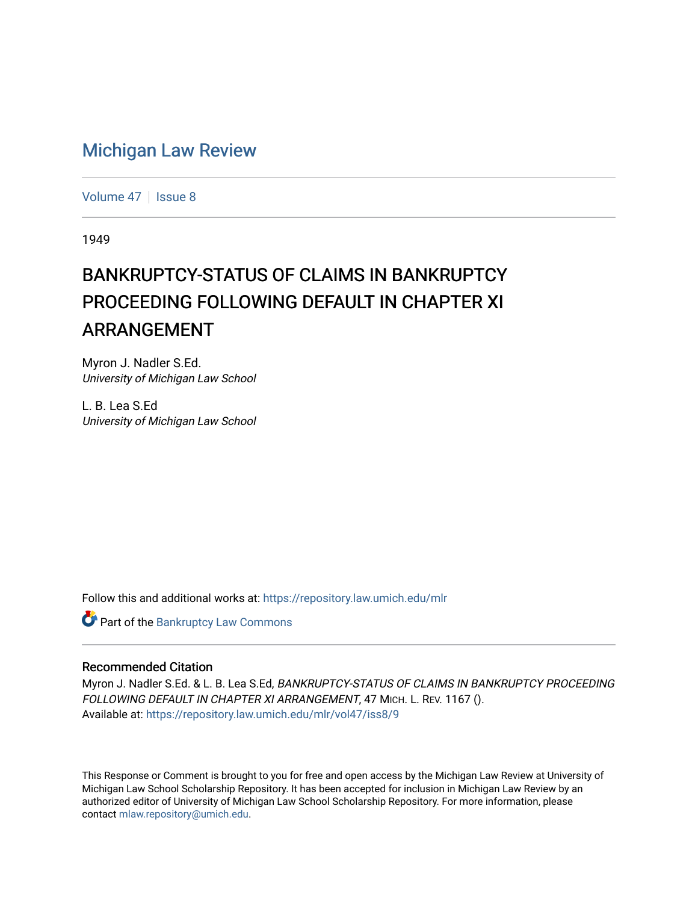# [Michigan Law Review](https://repository.law.umich.edu/mlr)

[Volume 47](https://repository.law.umich.edu/mlr/vol47) | [Issue 8](https://repository.law.umich.edu/mlr/vol47/iss8)

1949

# BANKRUPTCY-STATUS OF CLAIMS IN BANKRUPTCY PROCEEDING FOLLOWING DEFAULT IN CHAPTER XI ARRANGEMENT

Myron J. Nadler S.Ed. University of Michigan Law School

L. B. Lea S.Ed University of Michigan Law School

Follow this and additional works at: [https://repository.law.umich.edu/mlr](https://repository.law.umich.edu/mlr?utm_source=repository.law.umich.edu%2Fmlr%2Fvol47%2Fiss8%2F9&utm_medium=PDF&utm_campaign=PDFCoverPages) 

**C** Part of the Bankruptcy Law Commons

### Recommended Citation

Myron J. Nadler S.Ed. & L. B. Lea S.Ed, BANKRUPTCY-STATUS OF CLAIMS IN BANKRUPTCY PROCEEDING FOLLOWING DEFAULT IN CHAPTER XI ARRANGEMENT, 47 MICH. L. REV. 1167 (). Available at: [https://repository.law.umich.edu/mlr/vol47/iss8/9](https://repository.law.umich.edu/mlr/vol47/iss8/9?utm_source=repository.law.umich.edu%2Fmlr%2Fvol47%2Fiss8%2F9&utm_medium=PDF&utm_campaign=PDFCoverPages)

This Response or Comment is brought to you for free and open access by the Michigan Law Review at University of Michigan Law School Scholarship Repository. It has been accepted for inclusion in Michigan Law Review by an authorized editor of University of Michigan Law School Scholarship Repository. For more information, please contact [mlaw.repository@umich.edu](mailto:mlaw.repository@umich.edu).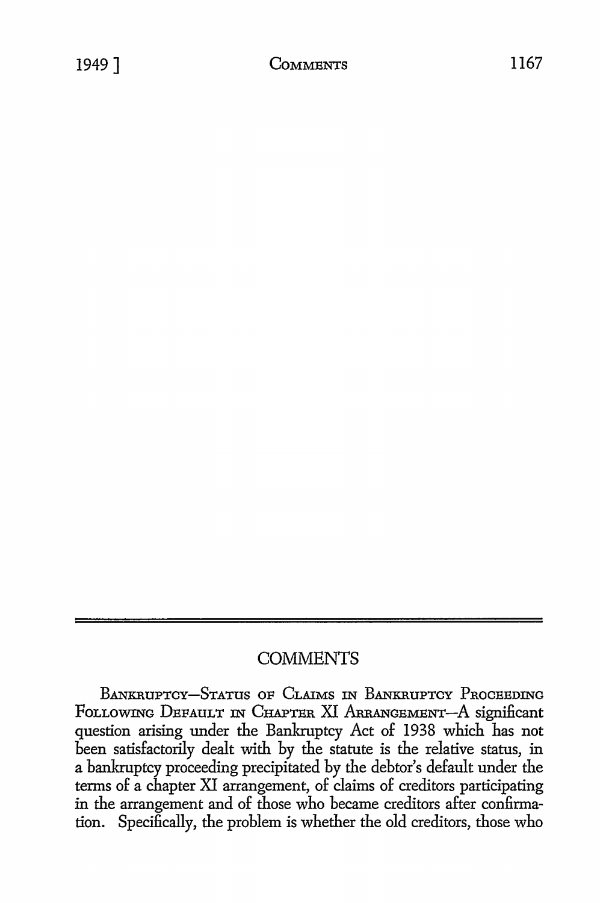# **COMMENTS**

BANKRUPTCY-STATUS OF CLAIMS IN BANKRUPTCY PROCEEDING FOLLOWING DEFAULT IN CHAPTER XI ARRANGEMENT-A significant question arising under the Bankruptcy Act of 1938 which has not been satisfactorily dealt with by the statute is the relative status, in a bankruptcy proceeding precipitated by the debtor's default under the terms of a chapter XI arrangement, of claims of creditors participating in the arrangement and of those who became creditors after confirmation. Specifically, the problem is whether the old creditors, those who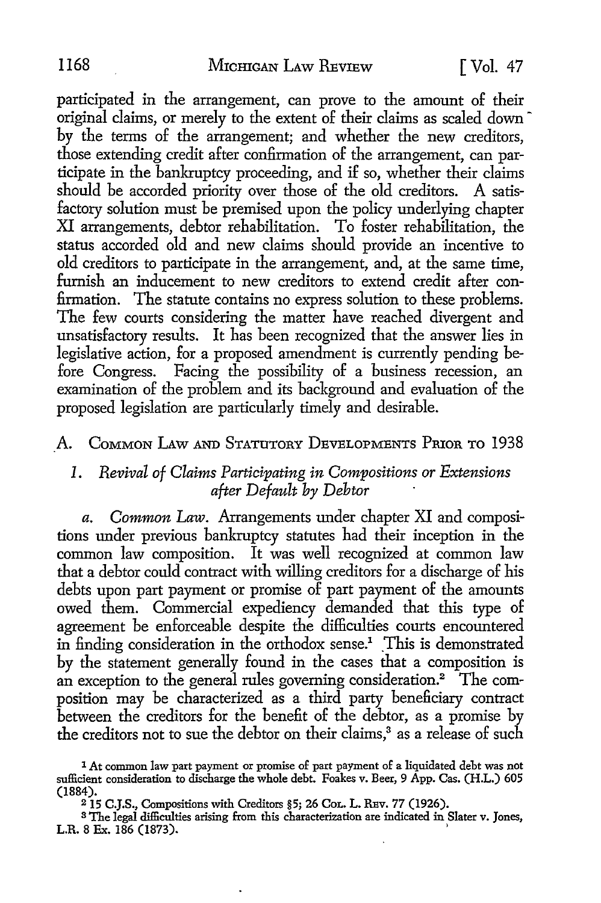participated in the arrangement, can prove *to* the amount of their original claims, or merely *to* the extent of their claims as scaled down by the terms of the arrangement; and whether the new creditors, those extending credit after confirmation of the arrangement, can participate in the bankruptcy proceeding, and if so, whether their claims should be accorded priority over those of the old creditors. A satisfactory solution must be premised upon the policy underlying chapter XI arrangements, debtor rehabilitation. To foster rehabilitation, the status accorded old and new claims should provide an incentive *to*  old creditors *to* participate in the arrangement, and, at the same time, furnish an inducement *to* new creditors *to* extend credit after confirmation. The statute contains no express solution to these problems. The few courts considering the matter have reached divergent and unsatisfactory results. It has been recognized that the answer lies in legislative action, for a proposed amendment is currently pending before Congress. Facing the possibility of a business recession, an examination of the problem and its background and evaluation of the proposed legislation are particularly timely and desirable.

### A. COMMON LAW AND STATUTORY DEVELOPMENTS PRIOR TO 1938

# *1. Revival of Claims Participating in Compositions or Extensions a-fter Def a ult by Debtor*

*a. Common Law.* Arrangements under chapter XI and compositions under previous bankruptcy statutes had their inception in the common law composition. It was well recognized at common law that a debtor could contract with willing creditors for a discharge of his debts upon part payment or promise of part payment of the amounts owed them. Commercial expediency demanded that this type of agreement be enforceable despite the difficulties courts encountered in finding consideration in the orthodox sense.<sup>1</sup> This is demonstrated by the statement generally found in the cases that a composition is an exception to the general rules governing consideration.<sup>2</sup> The composition may be characterized as a third party beneficiary contract between the creditors for the benefit of the debtor, as a promise by the creditors not to sue the debtor on their claims,<sup>3</sup> as a release of such

<sup>1</sup>*At* common law part payment or promise of part payment of a liquidated debt was not sufficient consideration to discharge the whole debt. Foakes v. Beer, 9 App. Cas. (H.L.) 605 (1884).

<sup>215</sup> C.J.S., Compositions with Creditors §5; 26 CoL. L. RBv. 77 (1926).

s The legal difficulties arising from this characterization are indicated in Slater v. Jones, L.R. 8 Ex. 186 (1873).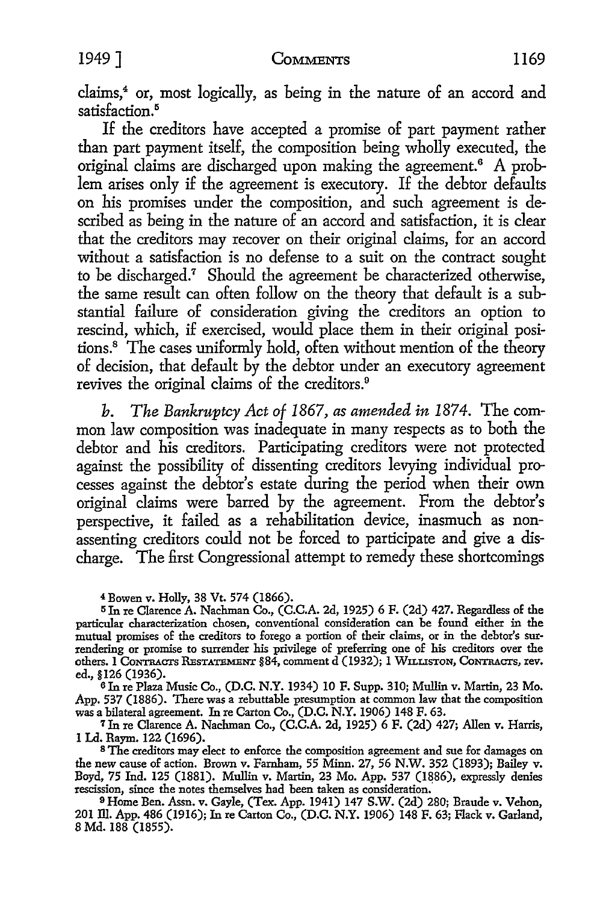claims,<sup>4</sup> or, most logically, as being in the nature of an accord and satisfaction.<sup>5</sup>

If the creditors have accepted a promise of part payment rather than part payment itself, the composition being wholly executed, the original claims are discharged upon making the agreement. 6 A problem arises only if the agreement is executory. If the debtor defaults on his promises under the composition, and such agreement is described as being in the nature of an accord and satisfaction, it is clear that the creditors may recover on their original claims, for an accord without a satisfaction is no defense to a suit on the contract sought to be discharged.<sup>7</sup> Should the agreement be characterized otherwise, the same result can often follow on the theory that default is a substantial failure of consideration giving the creditors an option to rescind, which, if exercised, would place them in their original positions.8 The cases uniformly hold, often without mention of the theory of decision, that default by the debtor under an executory agreement revives the original claims of the creditors.<sup>9</sup>

*b. The Bankruptcy Act of 1867, as amended in 1874.* The common law composition was inadequate in many respects as to both the debtor and his creditors. Participating creditors were not protected against the possibility of dissenting creditors levying individual processes against the debtor's estate during the period when their own original claims were barred by the agreement. From the debtor's perspective, it failed as a rehabilitation device, inasmuch as nonassenting creditors could not be forced to participate and give a discharge. The first Congressional attempt to remedy these shortcomings

<sup>4</sup>Bowen v. Holly, 38 Vt. 574 (1866).

<sup>5</sup>Jn re Clarence A. Nachman Co., (C.C.A. 2d, 1925) 6 F. (2d) 427. Regardless of the particular characterization chosen, conventional consideration can be found either in the mutual promises of the creditors to forego a portion of their claims, or in the debtor's surrendering or promise to surrender his privilege of preferring one of his creditors over the others. I CONTRACTS RESTATEMENT §84, comment d (1932); I WILLISTON, CONTRACTS, rev. ed., §126 (1936).

<sup>6</sup>Jn re Plaza Music Co., (D.C. N.Y. 1934) 10 F. Supp. 310; Mullin v. Martin, 23 Mo. App. 537 (1886). There was a rebuttable presumption at common law that the composition was a bilateral agreement. In re Carton Co., (D.C. N.Y. 1906) 148 F. 63.

<sup>7</sup>Jn re Clarence A. Nachman Co., (C.C.A. 2d, 1925) 6 F. (2d) 427; Allen v. Harris, l Ld. Raym. 122 (1696).

s The creditors may elect to enforce the composition agreement and sue for damages on the new cause of action. Brown v. Farnham, 55 Minn. 27, 56 N.W. 352 (1893); Bailey v. Boyd, 75 Ind. 125 (1881). Mullin v. Martin, 23 Mo. App. 537 (1886), expressly denies rescission, since the notes themselves had been taken as consideration.

<sup>9</sup>Home Ben. Assn. v. Gayle, (Tex. App. 1941) 147 S.W. (2d) 280; Braude v. Vehon, 201 Ill. App. 486 (1916); In re Carton Co., (D.C. N.Y. 1906) 148 F. 63; Flack v. Garland, 8 Md. 188 (1855).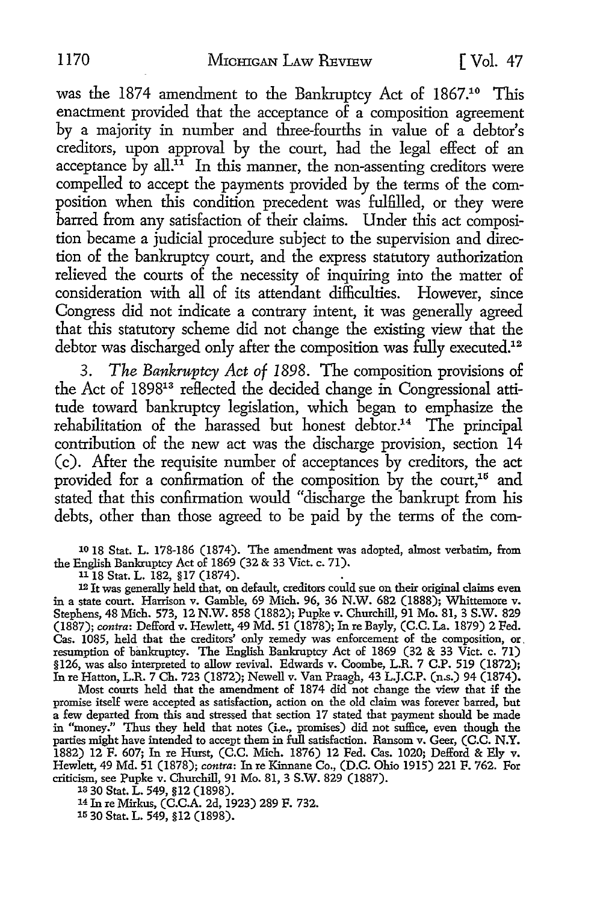was the 1874 amendment to the Bankruptcy Act of 1867.<sup>10</sup> This enactment provided that the acceptance of a composition agreement by a majority in number and three-fourths in value of a debtor's creditors, upon approval by the court, had the legal effect of an acceptance by all. $\overline{11}$  In this manner, the non-assenting creditors were compelled to accept the payments provided by the terms of the composition when this condition precedent was fulfilled, or they were barred from any satisfaction of their claims. Under this act composition became a judicial procedure subject to the supervision and direction of the bankruptcy court, and the express statutory authorization relieved the courts of the necessity of inquiring into the matter of consideration with all of its attendant difficulties. However, since Congress did not indicate a contrary intent, it was generally agreed that this statutory scheme did not change the existing view that the debtor was discharged only after the composition was fully executed.<sup>12</sup>

3. *The Bankruptcy Act of 1898.* The composition provisions of the Act of 189813 reflected the decided change in Congressional attitude toward bankruptcy legislation, which began to emphasize the rehabilitation of the harassed but honest debtor.<sup>14</sup> The principal contribution of the new act was the discharge provision, section 14 (c). After the requisite number of acceptances by creditors, the act provided for a confirmation of the composition by the court,<sup>15</sup> and stated that this confirmation would "discharge the bankrupt from his debts, other than those agreed to be paid by the terms of the com-

1018 Stat. L. 178-186 (1874). The amendment was adopted, almost verbatim, from the English Bankruptcy Act of 1869 (32 & 33 Viet. c. 71).

11 18 Stat. L. 182, §17 (1874).

l2 It was generally held that, on default, creditors could sue on their original claims even in a state court. Harrison v. Gamble, 69 Mich. 96, 36 N.W. 682 (1888); Whittemore v. Stephens, 48 Mich. 573, 12 N.W. 858 (1882); Pupke v. Churchill, 91 Mo. 81, 3 S.W. 829 (1887); *contra:* Defford v. Hewlett, 49 Md. 51 (1878); In re Bayly, (C.C. La. 1879) 2 Fed. Cas. 1085, held that the creditors' only remedy was enforcement of the composition, or, resumption of bankruptcy. The English Bankruptcy Act of 1869 (32 & 33 Viet. c. 71) §126, was also interpreted to allow revival. Edwards v. Coombe, L.R. 7 C.P. 519 (1872); In re Hatton, L.R. 7 Ch. 723 (1872); Newell v. Van Praagh, 43 L.J.C.P. (n.s.) 94 (1874).

Most courts held that the amendment of 1874 did not change the view that if the promise itself were accepted as satisfaction, action on the old claim was forever barred, but a few departed from this and stressed that section 17 stated that payment should be made in "money." Thus they held that notes (i.e., promises) did not suffice, even though the parties might have intended to accept them in full satisfaction. Ransom v. Geer, (C.C. N.Y. 1882) 12 F. 607; In re Hurst, (C.C. Mich. 1876) 12 Fed. Cas. 1020; Defford & Ely v. Hewlett, 49 Md. 51 (1878); *contra:* In re Kinnane Co., (D.C. Ohio 1915) 221 F. 762. For criticism, see Pupke v. Churchill, 91 Mo. 81, 3 S.W. 829 (1887).

13 30 Stat. L. 549, §12 (1898).

14 In re Mirkus, (C.C.A. 2d, 1923) 289 F. 732.

15 30 Stat. L. 549, §12 (1898).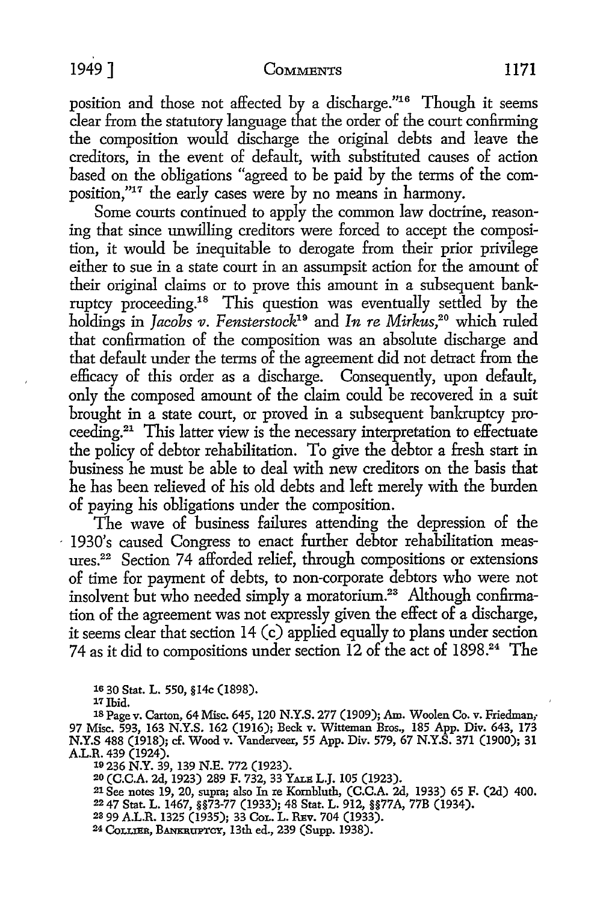position and those not affected by a discharge."16 Though it seems clear from the statutory language that the order of the court confirming the composition would discharge the original debts and leave the creditors, in the event of default, with substituted causes of action based on the obligations "agreed to be paid by the terms of the composition,"17 the early cases were by no means in harmony.

Some courts continued to apply the common law doctrine, reasoning that since unwilling creditors were forced to accept the composition, it would be inequitable to derogate from their prior privilege either to sue in a state court in an assumpsit action for the amount of their original claims or to prove this amount in a subsequent bankruptcy proceeding.18 This question was eventually settled by the holdings in *Jacobs 11. Fensterstock19* and *In re Mirkus,20* which ruled that confirmation of the composition was an absolute discharge and that default under the terms of the agreement did not detract from the efficacy of this order as a discharge. Consequently, upon default, only the composed amount of the claim could be recovered in a suit brought in a state court, or proved in a subsequent bankruptcy proceeding.21 This latter view is the necessary interpretation to effectuate the policy of debtor rehabilitation. To give the debtor a fresh start in business he must be able to deal with new creditors on the basis that he has been relieved of his old debts and left merely with the burden of paying his obligations under the composition.

The wave of business failures attending the depression of the - 1930's caused Congress to enact further debtor rehabilitation measures.22 Section 74 afforded relief, through compositions or extensions of time for payment of debts, to non-corporate debtors who were not insolvent but who needed simply a moratorium.<sup>23</sup> Although confirmation of the agreement was not expressly given the effect of a discharge, it seems clear that section 14 (c) applied equally to plans under section 74 as it did to compositions under section 12 of the act of 1898.24 The

16 30 Stat. L. 550, §l4c (1898).

*11* Ibid.

18 Page v. Carton, 64 Misc. 645, 120 N.Y.S. 277 (1909); Am. Woolen Co. v. Friedman,- 97 Misc. 593, 163 N.Y.S. 162 (1916); Beck v. Witteman Bros., 185 App. Div. 643, 173 N.Y.S 488 (1918); cf. Wood v. Vanderveer, 55 App. Div. 579, 67 N.Y.S. 371 (1900); 31

A.L.R. 439 (1924). 10 236 N.Y. 39, 139 N.E. 772 (1923).

18 236 N.Y. 39, 139 N.E. 772 (1923).<br><sup>19</sup> 236 N.Y. 39, 139 N.E. 772 (1923).<br><sup>20</sup> (C.C.A. 2d, 1923) 289 F. 732, 33 Yale L.J. 105 (1923).

21 See notes 19, 20, supra; also In re Kornbluth, (C.C.A. 2d, 1933) 65 F. (2d) 400.

22 47 Stat. L. 1467, §§73-77 (1933); 48 Stat. L. 912, §§77 A, 77B (1934).

23 99 A.L.R. 1325 (1935); 33 CoL. L. REv. 704 (1933).

24 CoLLIER, BANKRUPTCY, 13th ed., 239 (Supp. 1938).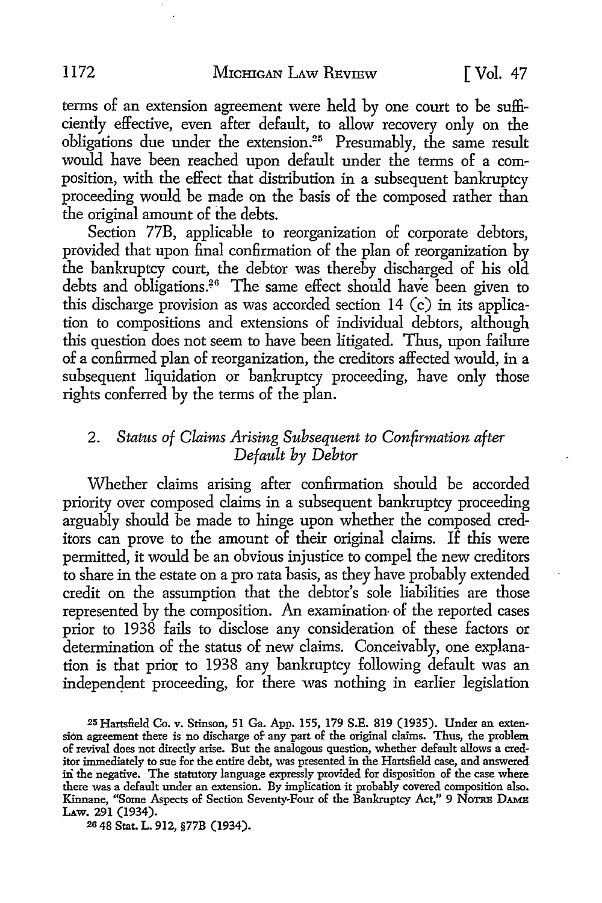terms of an extension agreement were held by one court to be sufficiently effective, even after default, to allow recovery only on the obligations due under the extension.25 Presumably, the same result would have been reached upon default under the terms of a composition, with the effect that distribution in a subsequent bankruptcy proceeding would be made on the basis of the composed rather than the original amount of the debts.

Section 77B, applicable to reorganization of corporate debtors, provided that upon final confirmation of the plan of reorganization by the bankruptcy court, the debtor was thereby discharged of his old debts and obligations.26 The same effect should have been given to this discharge provision as was accorded section 14 (c) in its application to compositions and extensions of individual debtors, although this question does not seem to have been litigated. Thus, upon failure of a confirmed plan of reorganization, the creditors affected would, in a subsequent liquidation or bankruptcy proceeding, have only those rights conferred by the terms of the plan.

# 2. Status of Claims Arising Subsequent to Confirmation after *Def a ult by Debtor*

vVhether claims arising after confirmation should be accorded priority over composed claims in a subsequent bankruptcy proceeding arguably should be made to hinge upon whether the composed creditors can prove to the amount of their original claims. If this were permitted, it would be an obvious injustice to compel the new creditors to share in the estate on a pro rata basis, as they have probably extended credit on the assumption that the debtor's sole liabilities are those represented by the composition. An examination of the reported cases prior to 1938 fails to disclose any consideration of these factors or determination of the status of new claims. Conceivably, one explanation is that prior to 1938 any bankruptcy following default was an indepenqent proceeding, for there was nothing in earlier legislation

25 Hartsfield Co. v. Stinson, 51 Ga. App. 155, 179 S.E. 819 (1935). Under an extension agreement there is no discharge of any part of the original claims. Thus, the problem of revival does not directly arise. But the analogous question, whether default allows a creditor immediately to sue for the entire debt, was presented in the Hartsfield case, and answered in the negative. The statutory language expressly provided for disposition of the case where there was a default under an extension. By implication it probably covered composition also. Kinnane, "Some Aspects of Section Seventy-Four of the Bankruptcy Act," 9 NOTRE DAMB Law. 291 (1934).

2s 48 Stat. L. 912, §77B (1934).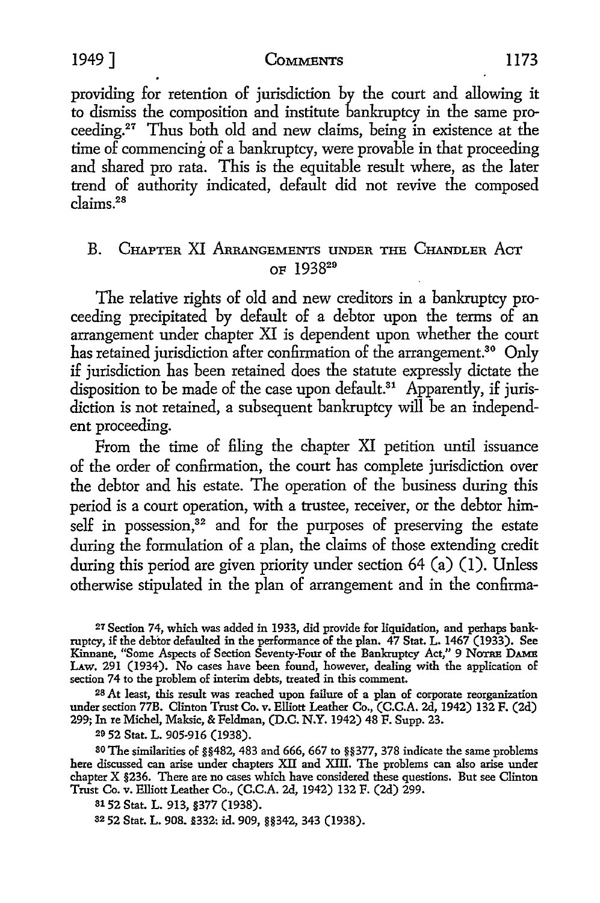#### 1949] COMMENTS ll73

providing for retention of jurisdiction by the court and allowing it to dismiss the composition and institute bankruptcy in the same proceeding.<sup>27</sup> Thus both old and new claims, being in existence at the time of commencing of a bankruptcy, were provable in that proceeding and shared pro rata. This is the equitable result where, as the later trend of authority indicated, default did not revive the composed claims.28

# B. CHAPTER XI ARRANGEMENTS UNDER THE CHANDLER ACT OF 193829

The relative rights of old and new creditors in a bankruptcy proceeding precipitated by default of a debtor upon the terms of an arrangement under chapter XI is dependent upon whether the court has retained jurisdiction after confirmation of the arrangement.<sup>30</sup> Only if jurisdiction has been retained does the statute expressly dictate the disposition to be made of the case upon default.<sup>31</sup> Apparently, if jurisdiction is not retained, a subsequent bankruptcy will be an independent proceeding.

From the time of filing the chapter XI petition until issuance of the order of confirmation, the court has complete jurisdiction over the debtor and his estate. The operation of the business during this period is a court operation, with a trustee, receiver, or the debtor himself in possession, $32$  and for the purposes of preserving the estate during the formulation of a plan, the claims of those extending credit during this period are given priority under section 64 (a) (I). Unless otherwise stipulated in the plan of arrangement and in the confirma-

27 Section 74, which was added in 1933, did provide for liquidation, and perhaps bankruptcy, if the debtor defaulted in the performance of the plan. 47 Stat. L. 1467 (1933). See Kinnane, "Some Aspects of Section Seventy-Four of the Bankruptcy Act," 9 NOTRE DAMB LAW. 291 (1934). No cases have been found, however, dealing with the application of section 74 to the problem of interim debts, treated in this comment.

<sup>28</sup>*At* least, this result was reached upon failure of a plan of corporate reorganization under section 77B. Clinton Trust Co. v. Elliott Leather Co., (C.C.A. 2d, 1942) 132 F. (2d) 299; In re Michel, Maksic, & Feldman, (D.C. N.Y. 1942) 48 F. Supp. 23.

29 52 Stat. L. 905-916 (1938).

30 The similarities of §§482, 483 and 666, 667 to §§377, 378 indicate the same problems here discussed can arise under chapters XII and XIII. The problems can also arise under chapter X §236. There are no cases which have considered these questions. But see Clinton Trust Co. v. Elliott Leather Co., (C.C.A. 2d, 1942) 132 F. (2d) 299.

s1 52 Stat. L. 913, §377 (1938).

s2 52 Stat. L. 908. §332: id. 909, §§342, 343 (1938).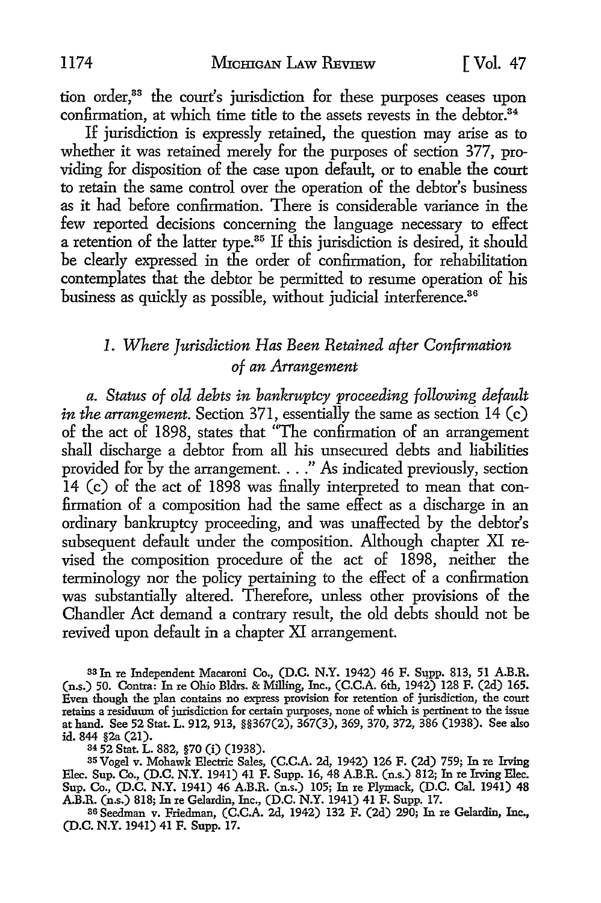tion order,<sup>33</sup> the court's jurisdiction for these purposes ceases upon confirmation, at which time title to the assets revests in the debtor.<sup>34</sup>

If jurisdiction is expressly retained, the question may arise as to whether it was retained merely for the purposes of section 377, providing for disposition of the case upon default, or to enable the court to retain the same control over the operation of the debtor's business as it had before confirmation. There is considerable variance in the few reported decisions concerning the language necessary to effect a retention of the latter type.<sup>35</sup> If this jurisdiction is desired, it should be clearly expressed in the order of confirmation, for rehabilitation contemplates that the debtor be permitted to resume operation of his business as quickly as possible, without judicial interference.<sup>36</sup>

# *I. Where Jurisdiction Has Been Retained after Confirmation of an Arrangement*

*a. Status of old debts in bankruptcy proceeding following default in the arrangement.* Section 371, essentially the same as section 14 (c) of the act of 1898, states that "The confirmation of an arrangement shall discharge a debtor from all his unsecured debts and liabilities provided for by the arrangement .... " As indicated previously, section 14 (c) of the act of 1898 was finally interpreted to mean that confirmation of a composition had the same effect as a discharge in an ordinary bankruptcy proceeding, and was unaffected by the debtor's subsequent default under the composition. Although chapter XI revised the composition procedure of the act of 1898, neither the terminology nor the policy pertaining to the effect of a confirmation was substantially altered. Therefore, unless other provisions of the Chandler Act demand a contrary result, the old debts should not be revived upon default in a chapter XI arrangement.

33 In re Independent Macaroni Co., (D.C. N.Y. 1942) 46 F. Supp. 813, 51 A.B.R. (n.s.) 50. Contra: In re Ohio Bldrs. & Milling, Inc., (C.C.A. 6th, 1942) 128 F. (2d) 165. Even though the plan contains no express provision for retention of jurisdiction, the court retains a residuum of jurisdiction for certain purposes, none of which is pertinent to the issue at hand. See 52 Stat. L. 912, 913, §§367(2), 367(3), 369, 370, 372, 386 (1938). See also id. 844 §2a (21).

34 52 Stat. L. 882, §70 (i) (1938).

35 Vogel v. Mohawk Electric Sales, (C.C.A. 2d, 1942) 126 F. (2d) 759; In re Irving Blee. Sup. Co., (D.C. N.Y. 1941) 41 F. Supp. 16, 48 A.B.R. (n.s.) 812; In re Irving Blee. Sup. Co., (D.C. N.Y. 1941) 46 A.B.R. (n.s.) 105; In re Plymack, (D.C. Cal. 1941) 48 A.B.R. (n.s.) 818; In re Gelardin, Inc., (D.C. N.Y. 1941) 41 F. Supp. 17.

36 Seedman v. Friedman, (C.C.A. 2d, 1942) 132 F. (2d) 290; In re Gelardin, Inc., (D.C. N.Y. 1941) 41 F. Supp. 17.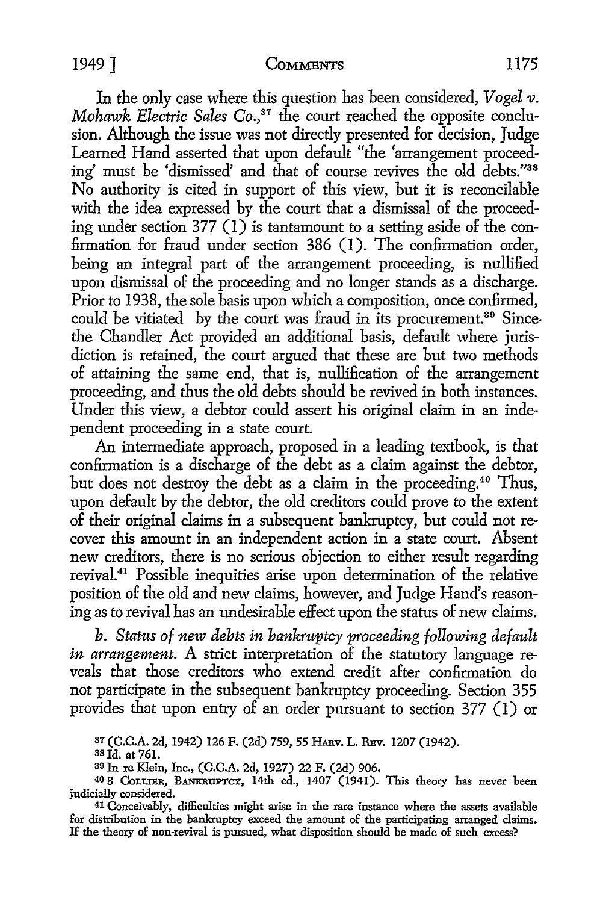#### 1949] COMMENTS 1175

In the only case where this question has been considered, *Vogel v*. *Mohawk Electric Sales Co.*,<sup>37</sup> the court reached the opposite conclusion. Although the issue was not directly presented for decision, Judge Learned Hand asserted that upon default "the 'arrangement proceeding' must be 'dismissed' and that of course revives the old debts."<sup>38</sup> No authority is cited in support of this view, but it is reconcilable with the idea expressed by the court that a dismissal of the proceeding under section 377 (1) is tantamount to a setting aside of the confirmation for fraud under section 386 (I). The confirmation order, being an integral part of the arrangement proceeding, is nullified upon dismissal of the proceeding and no longer stands as a discharge. Prior to 1938, the sole basis upon which a composition, once confirmed, could be vitiated by the court was fraud in its procurement.<sup>39</sup> Sincethe Chandler Act provided an additional basis, default where jurisdiction is retained, the court argued that these are but two methods of attaining the same end, that is, nullification of the arrangement proceeding, and thus the old debts should be revived in both instances. Under this view, a debtor could assert his original claim in an independent proceeding in a state court.

An intermediate approach, proposed in a leading textbook, is that confirmation is a discharge of the debt as a claim against the debtor, but does not destroy the debt as a claim in the proceeding. 40 Thus, upon default by the debtor, the old creditors could prove to the extent of their original claims in a subsequent bankruptcy, but could not recover this amount in an independent action in a state court. Absent new creditors, there is no serious objection to either result regarding revival.41 Possible inequities arise upon determination of the relative position of the old and new claims, however, and Judge Hand's reasoning as to revival has an undesirable effect upon the status of new claims.

*b. Status of new debts in bankruptcy proceeding following default in arrangement.* A strict interpretation of the statutory language reveals that those creditors who extend credit after confirmation do not participate in the subsequent bankruptcy proceeding. Section 355 provides that upon entry of an order pursuant to section 377 (I) or

37 (C.C.A. 2d, 1942) 126 F. (2d) 759, 55 HARV. L. REV. 1207 (1942).<br><sup>38</sup> Id. at 761.

30 In re Klein, Inc., (C.C.A. 2d, 1927) 22 F. (2d) 906.

40 8 CoLLIER, BANKRUPTCY, 14th ed., 1407 (1941). This theory has never been judicially considered.

41 Conceivably, difficulties might arise in the rare instance where the assets available for distribution in the bankruptcy exceed the amount of the participating arranged claims. If the theory of non-revival is pursued, what disposition should be made of such excess?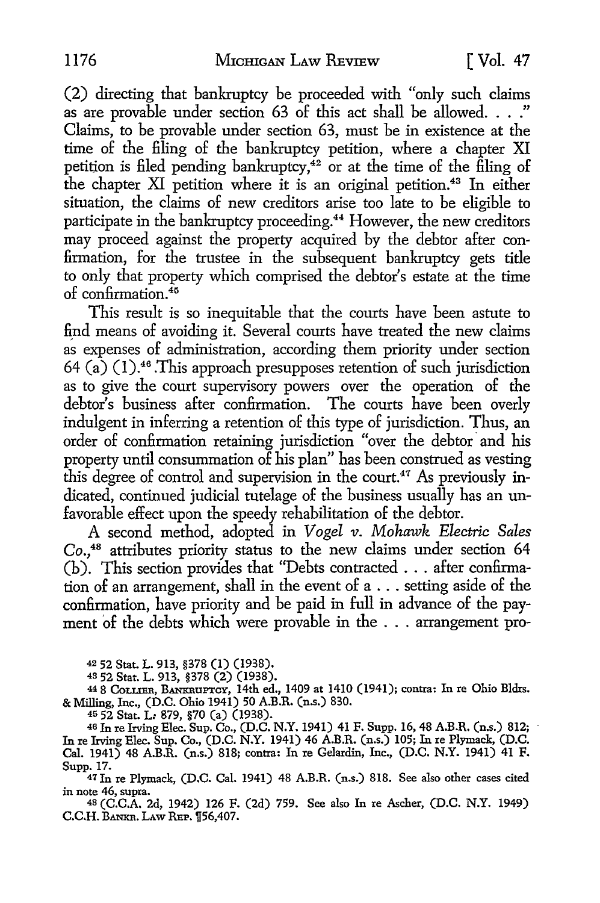(2) directing that bankruptcy be proceeded with "only such claims as are provable under section 63 of this act shall be allowed. . . ." Claims, to be provable under section 63, must be in existence at the time of the £ling of the bankruptcy petition, where a chapter XI petition is filed pending bankruptcy,<sup>42</sup> or at the time of the filing of the chapter XI petition where it is an original petition.<sup>43</sup> In either situation, the claims of new creditors arise too late to be eligible to participate in the bankruptcy proceeding.<sup>44</sup> However, the new creditors may proceed against the property acquired by the debtor after con firmation, for the trustee in the subsequent bankruptcy gets title to only that property which comprised the debtor's estate at the time of confirmation. $45$ 

This result is so inequitable that the courts have been astute to find means of avoiding it. Several courts have treated the new claims as expenses of administration, according them priority under section 64 (a)  $(1)$ .<sup>46</sup> This approach presupposes retention of such jurisdiction as to give the court supervisory powers over the operation of the debtor's business after confirmation. The courts have been overly indulgent in inferring a retention of this type of jurisdiction. Thus, an order of confirmation retaining jurisdiction "over the debtor and his property until consummation of his plan" has been construed as vesting this degree of control and supervision in the court.<sup>47</sup> As previously indicated, continued judicial tutelage of the business usually has an unfavorable effect upon the speedy rehabilitation of the debtor.

A second method, adopted in *Vogel v. Mohawk Electric Sales*  Co.,<sup>48</sup> attributes priority status to the new claims under section 64  $(b)$ . This section provides that "Debts contracted  $\ldots$  after confirmation of an arrangement, shall in the event of a . . . setting aside of the confirmation, have priority and be paid in full in advance of the payment of the debts which were provable in the . . . arrangement pro-

42 52 Stat. L. 913, §378 (1) (1938).

48 52 Stat. L. 913, §378 (2) (1938).<br>44 8 Collier, Bankruptcy, 14th ed., 1409 at 1410 (1941); contra: In re Ohio Bldrs. & Milling, Inc., (D.C. Ohio 1941) 50 A.B.R. (n.s.) 830.

45 52 Stat. L: 879, §70 (a) (1938).<br><sup>46</sup> In re Irving Elec. Sup. Co., (D.C. N.Y. 1941) 41 F. Supp. 16, 48 A.B.R. (n.s.) 812; In re Irving Elec. Sup. Co., (D.C. N.Y. 1941) 46 A.B.R. (n.s.) 105; In re Plymack, (D.C. Cal. 1941) 48 A.B.R. (n.s.) 818; contra: In re Gelardin, Inc., (D.C. N.Y. 1941) 41 F. Supp. 17.

47 In re Plymack, (D.C. Cal. 1941) 48 A.B.R. (n.s.) 818. See also other cases cited in note 46, supra.

<sup>48</sup>(C.C.A. 2d, 1942) 126 F. (2d) 759. See also In re Ascher, (D.C. N.Y. 1949) C.C.H. BANKR. LAW REP. 156,407.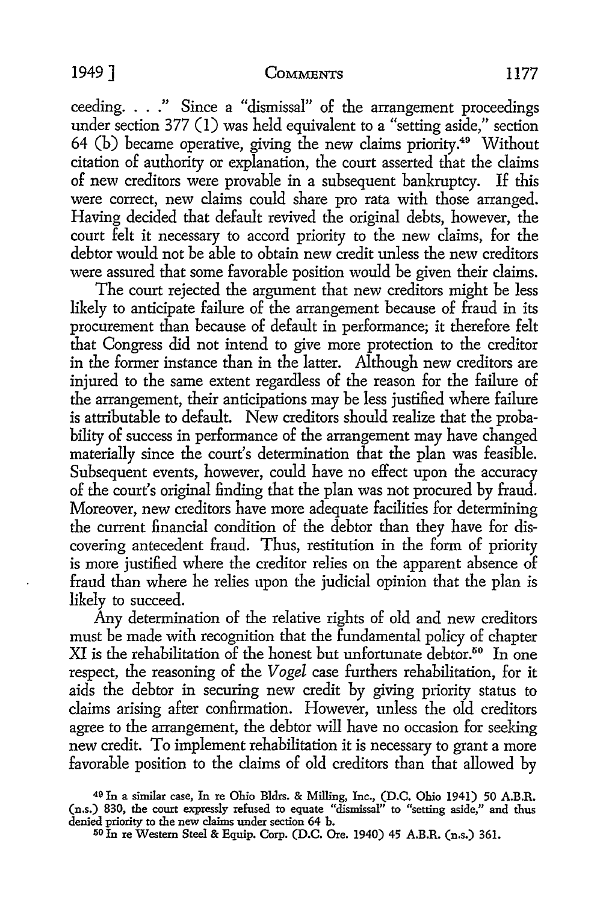#### 1949] COMMENTS 1177

ceeding. . . ." Since a "dismissal" of the arrangement proceedings under section 377 (I) was held equivalent to a "setting aside," section 64 (b) became operative, giving the new claims priority.49 Without citation of authority or explanation, the court asserted that the claims of new creditors were provable in a subsequent bankruptcy. If this were correct, new claims could share pro rata with those arranged. Having decided that default revived the original debts, however, the court felt it necessary to accord priority to the new claims, for the debtor would not be able to obtain new credit unless the new creditors were assured that some favorable position would be given their claims.

The court rejected the argument that new creditors might be less likely to anticipate failure of the arrangement because of fraud in its procurement than because of default in performance; it therefore felt that Congress did not intend to give more protection to the creditor in the former instance than in the latter. Although new creditors are injured to the same extent regardless of the reason for the failure of the arrangement, their anticipations may be less justified where failure is attributable to default. New creditors should realize that the probability of success in performance of the arrangement may have changed materially since the court's determination that the plan was feasible. Subsequent events, however, could have no effect upon the accuracy of the court's original finding that the plan was not procured by fraud. Moreover, new creditors have more adequate facilities for determining the current financial condition of the debtor than they have for discovering antecedent fraud. Thus, restitution in the form of priority is more justified where the creditor relies on the apparent absence of fraud than where he relies upon the judicial opinion that the plan is likely to succeed.

Any determination of the relative rights of old and new creditors must be made with recognition that the fundamental policy of chapter XI is the rehabilitation of the honest but unfortunate debtor.<sup>50</sup> In one respect, the reasoning of the *Vogel* case furthers rehabilitation, for it aids the debtor in securing new credit by giving priority status to claims arising after confirmation. However, unless the old creditors agree to the arrangement, the debtor will have no occasion for seeking new credit. To implement rehabilitation it is necessary to grant a more favorable position to the claims of old creditors than that allowed by

<sup>49</sup> In a similar case, In re Ohio Bldrs. & Milling, Inc., (D.C. Ohio 1941) 50 A.B.R. (n.s.) 830, the court expressly refused to equate "dismissal" to "setting aside," and thus denied priority to the new claims under section 64 b.

<sup>50</sup> In re Western Steel & Equip. Corp. (D.C. Ore. 1940) 45 A.B.R. (n.s.) 361.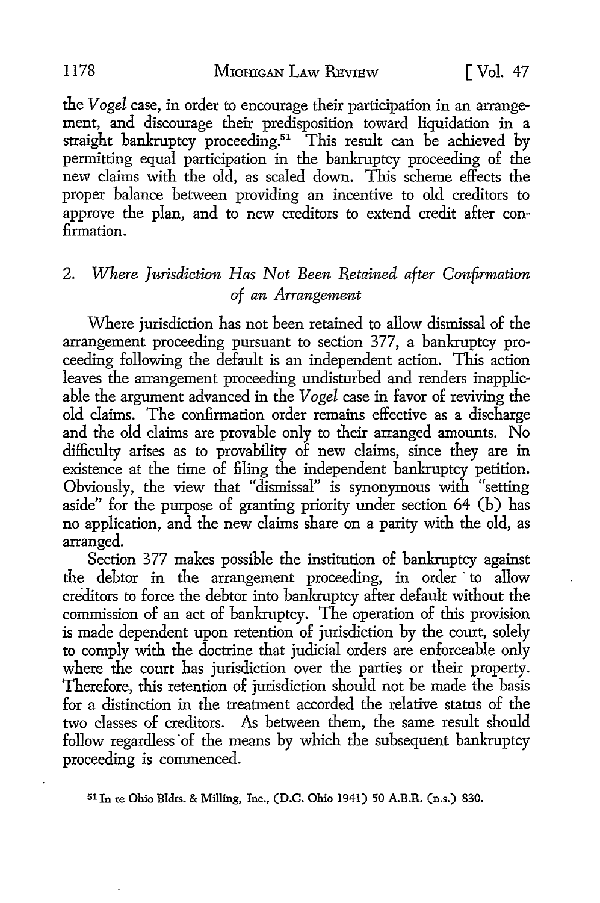the *Vogel* case, in order *to* encourage their participation in an arrangement, and discourage their predisposition toward liquidation in a straight bankruptcy proceeding.51 This result can be achieved by permitting equal participation in the bankruptcy proceeding of the new claims with the old, as scaled down. This scheme effects the proper balance between providing an incentive *to* old creditors *to*  approve the plan, and *to* new creditors *to* extend credit after confirmation.

# 2. Where Jurisdiction Has Not Been Retained after Confirmation *of an Arrangement*

Where jurisdiction has not been retained to allow dismissal of the arrangement proceeding pursuant *to* section 377, a bankruptcy proceeding following the default is an independent action. This action leaves the arrangement proceeding undisturbed and renders inapplicable the argument advanced in the *Vogel* case in favor of reviving the old claims. The confirmation order remains effective as a discharge and the old claims are provable only *to* their arranged amounts. No difficulty arises as *to* provability of new claims, since they are in existence at the time of filing the independent bankruptcy petition. Obviously, the view that "dismissal" is synonymous with "setting aside" for the purpose of granting priority under section 64 (b) has no application, and the new claims share on a parity with the old, as arranged.

Section 377 makes possible the institution of bankruptcy against the debtor in the arrangement proceeding, in order · *to* allow creditors *to* force the debtor into bankruptcy after default without the commission of an act of bankruptcy. The operation of this provision is made dependent upon retention of jurisdiction by the court, solely *to* comply with the doctrine that judicial orders are enforceable only where the court has jurisdiction over the parties or their property. Therefore, this retention of jurisdiction should not be made the basis for a distinction in the treatment accorded the relative status of the two classes of creditors. As between them, the same result should follow regardless of the means by which the subsequent bankruptcy proceeding is commenced.

<sup>51</sup>Jn re Ohio Bldrs. & Milling, Inc., (D.C. Ohio 1941) 50 A.B.R. (n.s.) 830.